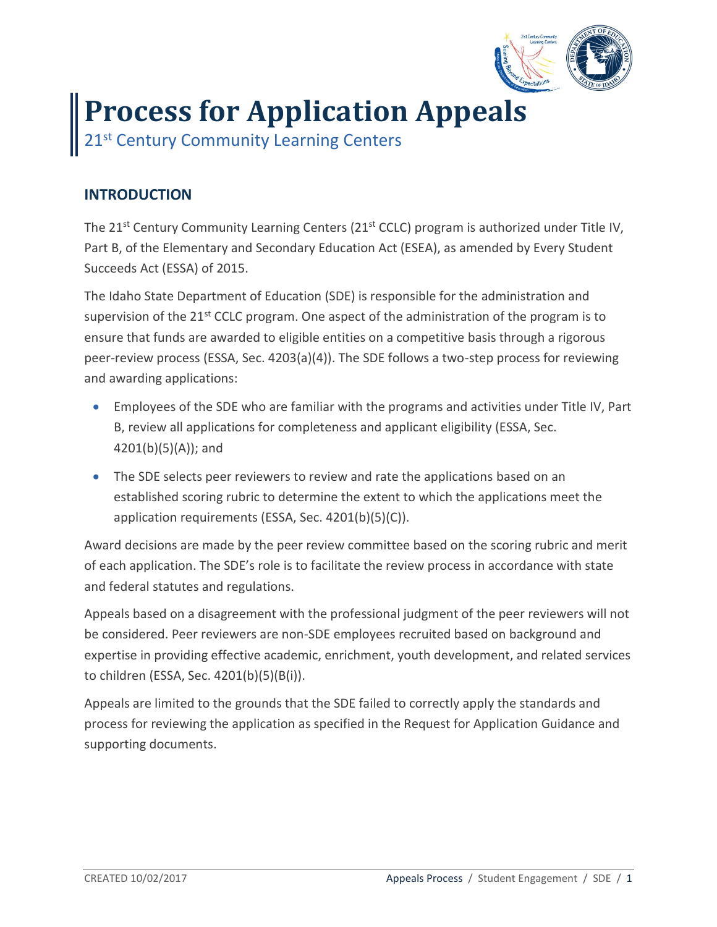

## **Process for Application Appeals**

21<sup>st</sup> Century Community Learning Centers

## **INTRODUCTION**

The 21<sup>st</sup> Century Community Learning Centers (21<sup>st</sup> CCLC) program is authorized under Title IV, Part B, of the Elementary and Secondary Education Act (ESEA), as amended by Every Student Succeeds Act (ESSA) of 2015.

The Idaho State Department of Education (SDE) is responsible for the administration and supervision of the  $21^{st}$  CCLC program. One aspect of the administration of the program is to ensure that funds are awarded to eligible entities on a competitive basis through a rigorous peer-review process (ESSA, Sec. 4203(a)(4)). The SDE follows a two-step process for reviewing and awarding applications:

- Employees of the SDE who are familiar with the programs and activities under Title IV, Part B, review all applications for completeness and applicant eligibility (ESSA, Sec.  $4201(b)(5)(A))$ ; and
- The SDE selects peer reviewers to review and rate the applications based on an established scoring rubric to determine the extent to which the applications meet the application requirements (ESSA, Sec. 4201(b)(5)(C)).

Award decisions are made by the peer review committee based on the scoring rubric and merit of each application. The SDE's role is to facilitate the review process in accordance with state and federal statutes and regulations.

Appeals based on a disagreement with the professional judgment of the peer reviewers will not be considered. Peer reviewers are non-SDE employees recruited based on background and expertise in providing effective academic, enrichment, youth development, and related services to children (ESSA, Sec. 4201(b)(5)(B(i)).

Appeals are limited to the grounds that the SDE failed to correctly apply the standards and process for reviewing the application as specified in the Request for Application Guidance and supporting documents.